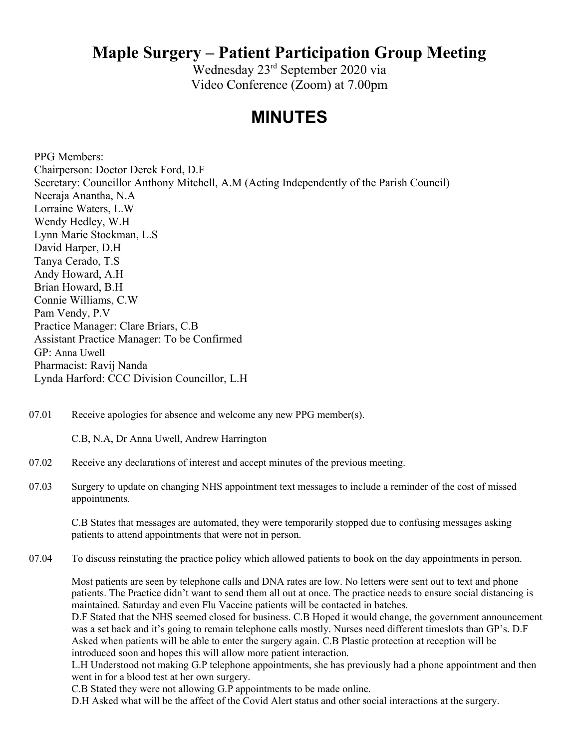Wednesday 23rd September 2020 via Video Conference (Zoom) at 7.00pm

### **MINUTES**

PPG Members: Chairperson: Doctor Derek Ford, D.F Secretary: Councillor Anthony Mitchell, A.M (Acting Independently of the Parish Council) Neeraja Anantha, N.A Lorraine Waters, L.W Wendy Hedley, W.H Lynn Marie Stockman, L.S David Harper, D.H Tanya Cerado, T.S Andy Howard, A.H Brian Howard, B.H Connie Williams, C.W Pam Vendy, P.V Practice Manager: Clare Briars, C.B Assistant Practice Manager: To be Confirmed GP: Anna Uwell Pharmacist: Ravij Nanda Lynda Harford: CCC Division Councillor, L.H

07.01 Receive apologies for absence and welcome any new PPG member(s).

C.B, N.A, Dr Anna Uwell, Andrew Harrington

- 07.02 Receive any declarations of interest and accept minutes of the previous meeting.
- 07.03 Surgery to update on changing NHS appointment text messages to include a reminder of the cost of missed appointments.

C.B States that messages are automated, they were temporarily stopped due to confusing messages asking patients to attend appointments that were not in person.

07.04 To discuss reinstating the practice policy which allowed patients to book on the day appointments in person.

Most patients are seen by telephone calls and DNA rates are low. No letters were sent out to text and phone patients. The Practice didn't want to send them all out at once. The practice needs to ensure social distancing is maintained. Saturday and even Flu Vaccine patients will be contacted in batches.

D.F Stated that the NHS seemed closed for business. C.B Hoped it would change, the government announcement was a set back and it's going to remain telephone calls mostly. Nurses need different timeslots than GP's. D.F Asked when patients will be able to enter the surgery again. C.B Plastic protection at reception will be introduced soon and hopes this will allow more patient interaction.

L.H Understood not making G.P telephone appointments, she has previously had a phone appointment and then went in for a blood test at her own surgery.

C.B Stated they were not allowing G.P appointments to be made online.

D.H Asked what will be the affect of the Covid Alert status and other social interactions at the surgery.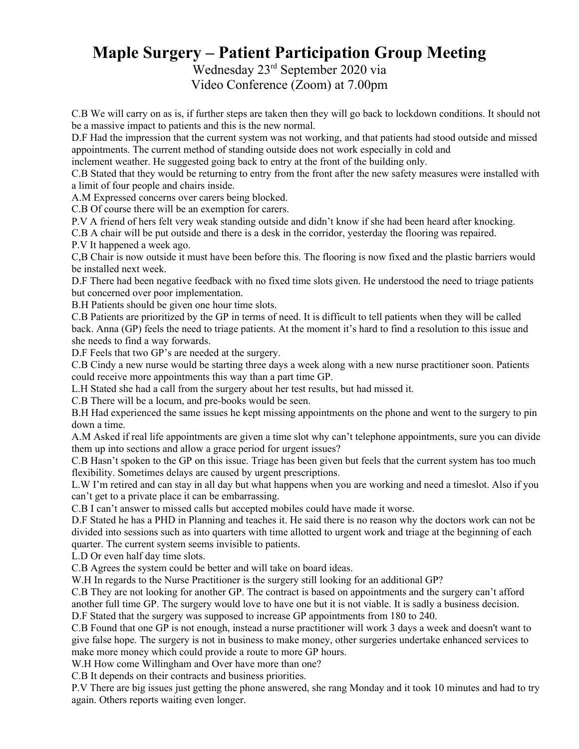Wednesday 23rd September 2020 via Video Conference (Zoom) at 7.00pm

C.B We will carry on as is, if further steps are taken then they will go back to lockdown conditions. It should not be a massive impact to patients and this is the new normal.

D.F Had the impression that the current system was not working, and that patients had stood outside and missed appointments. The current method of standing outside does not work especially in cold and

inclement weather. He suggested going back to entry at the front of the building only.

C.B Stated that they would be returning to entry from the front after the new safety measures were installed with a limit of four people and chairs inside.

A.M Expressed concerns over carers being blocked.

C.B Of course there will be an exemption for carers.

P.V A friend of hers felt very weak standing outside and didn't know if she had been heard after knocking.

C.B A chair will be put outside and there is a desk in the corridor, yesterday the flooring was repaired.

P.V It happened a week ago.

C,B Chair is now outside it must have been before this. The flooring is now fixed and the plastic barriers would be installed next week.

D.F There had been negative feedback with no fixed time slots given. He understood the need to triage patients but concerned over poor implementation.

B.H Patients should be given one hour time slots.

C.B Patients are prioritized by the GP in terms of need. It is difficult to tell patients when they will be called back. Anna (GP) feels the need to triage patients. At the moment it's hard to find a resolution to this issue and she needs to find a way forwards.

D.F Feels that two GP's are needed at the surgery.

C.B Cindy a new nurse would be starting three days a week along with a new nurse practitioner soon. Patients could receive more appointments this way than a part time GP.

L.H Stated she had a call from the surgery about her test results, but had missed it.

C.B There will be a locum, and pre-books would be seen.

B.H Had experienced the same issues he kept missing appointments on the phone and went to the surgery to pin down a time.

A.M Asked if real life appointments are given a time slot why can't telephone appointments, sure you can divide them up into sections and allow a grace period for urgent issues?

C.B Hasn't spoken to the GP on this issue. Triage has been given but feels that the current system has too much flexibility. Sometimes delays are caused by urgent prescriptions.

L.W I'm retired and can stay in all day but what happens when you are working and need a timeslot. Also if you can't get to a private place it can be embarrassing.

C.B I can't answer to missed calls but accepted mobiles could have made it worse.

D.F Stated he has a PHD in Planning and teaches it. He said there is no reason why the doctors work can not be divided into sessions such as into quarters with time allotted to urgent work and triage at the beginning of each quarter. The current system seems invisible to patients.

L.D Or even half day time slots.

C.B Agrees the system could be better and will take on board ideas.

W.H In regards to the Nurse Practitioner is the surgery still looking for an additional GP?

C.B They are not looking for another GP. The contract is based on appointments and the surgery can't afford another full time GP. The surgery would love to have one but it is not viable. It is sadly a business decision.

D.F Stated that the surgery was supposed to increase GP appointments from 180 to 240.

C.B Found that one GP is not enough, instead a nurse practitioner will work 3 days a week and doesn't want to give false hope. The surgery is not in business to make money, other surgeries undertake enhanced services to make more money which could provide a route to more GP hours.

W.H How come Willingham and Over have more than one?

C.B It depends on their contracts and business priorities.

P.V There are big issues just getting the phone answered, she rang Monday and it took 10 minutes and had to try again. Others reports waiting even longer.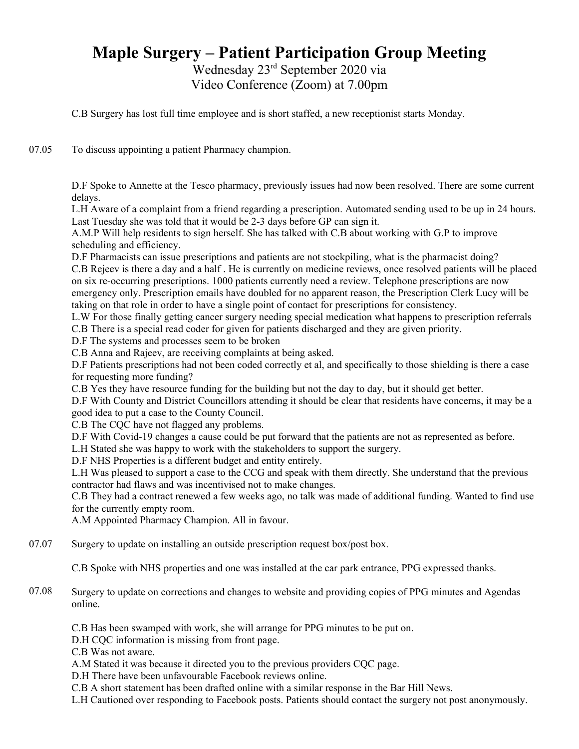Wednesday 23rd September 2020 via Video Conference (Zoom) at 7.00pm

C.B Surgery has lost full time employee and is short staffed, a new receptionist starts Monday.

07.05 To discuss appointing a patient Pharmacy champion.

> D.F Spoke to Annette at the Tesco pharmacy, previously issues had now been resolved. There are some current delays.

> L.H Aware of a complaint from a friend regarding a prescription. Automated sending used to be up in 24 hours. Last Tuesday she was told that it would be 2-3 days before GP can sign it.

A.M.P Will help residents to sign herself. She has talked with C.B about working with G.P to improve scheduling and efficiency.

D.F Pharmacists can issue prescriptions and patients are not stockpiling, what is the pharmacist doing?

C.B Rejeev is there a day and a half . He is currently on medicine reviews, once resolved patients will be placed on six re-occurring prescriptions. 1000 patients currently need a review. Telephone prescriptions are now emergency only. Prescription emails have doubled for no apparent reason, the Prescription Clerk Lucy will be taking on that role in order to have a single point of contact for prescriptions for consistency.

L.W For those finally getting cancer surgery needing special medication what happens to prescription referrals C.B There is a special read coder for given for patients discharged and they are given priority.

D.F The systems and processes seem to be broken

C.B Anna and Rajeev, are receiving complaints at being asked.

D.F Patients prescriptions had not been coded correctly et al, and specifically to those shielding is there a case for requesting more funding?

C.B Yes they have resource funding for the building but not the day to day, but it should get better.

D.F With County and District Councillors attending it should be clear that residents have concerns, it may be a good idea to put a case to the County Council.

C.B The CQC have not flagged any problems.

D.F With Covid-19 changes a cause could be put forward that the patients are not as represented as before.

L.H Stated she was happy to work with the stakeholders to support the surgery.

D.F NHS Properties is a different budget and entity entirely.

L.H Was pleased to support a case to the CCG and speak with them directly. She understand that the previous contractor had flaws and was incentivised not to make changes.

C.B They had a contract renewed a few weeks ago, no talk was made of additional funding. Wanted to find use for the currently empty room.

A.M Appointed Pharmacy Champion. All in favour.

07.07 Surgery to update on installing an outside prescription request box/post box.

C.B Spoke with NHS properties and one was installed at the car park entrance, PPG expressed thanks.

07.08 Surgery to update on corrections and changes to website and providing copies of PPG minutes and Agendas online.

C.B Has been swamped with work, she will arrange for PPG minutes to be put on.

D.H CQC information is missing from front page.

C.B Was not aware.

A.M Stated it was because it directed you to the previous providers CQC page.

D.H There have been unfavourable Facebook reviews online.

C.B A short statement has been drafted online with a similar response in the Bar Hill News.

L.H Cautioned over responding to Facebook posts. Patients should contact the surgery not post anonymously.